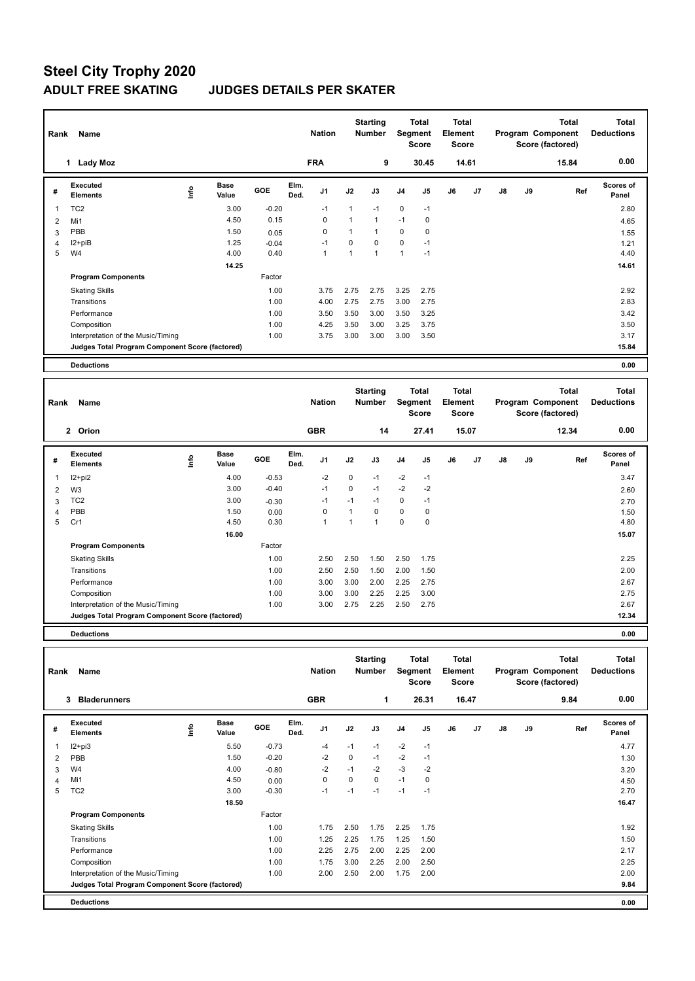| Rank | Name                                            |                            |         | <b>Nation</b>                  |              | <b>Starting</b><br><b>Number</b> |                | <b>Total</b><br>Segment<br><b>Score</b> | <b>Total</b><br><b>Element</b><br>Score |       |    |    | <b>Total</b><br>Program Component<br>Score (factored) | <b>Total</b><br><b>Deductions</b> |
|------|-------------------------------------------------|----------------------------|---------|--------------------------------|--------------|----------------------------------|----------------|-----------------------------------------|-----------------------------------------|-------|----|----|-------------------------------------------------------|-----------------------------------|
|      | <b>Lady Moz</b>                                 |                            |         | <b>FRA</b>                     |              | 9                                |                | 30.45                                   |                                         | 14.61 |    |    | 15.84                                                 | 0.00                              |
| #    | <b>Executed</b><br><b>Elements</b>              | <b>Base</b><br>۴ů<br>Value | GOE     | Elm.<br>J <sub>1</sub><br>Ded. | J2           | J3                               | J <sub>4</sub> | J <sub>5</sub>                          | J6                                      | J7    | J8 | J9 | Ref                                                   | <b>Scores of</b><br>Panel         |
| 1    | TC <sub>2</sub>                                 | 3.00                       | $-0.20$ | $-1$                           | 1            | $-1$                             | $\mathbf 0$    | $-1$                                    |                                         |       |    |    |                                                       | 2.80                              |
| 2    | Mi1                                             | 4.50                       | 0.15    | 0                              | $\mathbf{1}$ | $\mathbf{1}$                     | $-1$           | 0                                       |                                         |       |    |    |                                                       | 4.65                              |
| 3    | PBB                                             | 1.50                       | 0.05    | 0                              | 1            | $\mathbf{1}$                     | 0              | 0                                       |                                         |       |    |    |                                                       | 1.55                              |
| 4    | I2+piB                                          | 1.25                       | $-0.04$ | $-1$                           | $\mathbf 0$  | $\mathbf 0$                      | $\mathbf 0$    | $-1$                                    |                                         |       |    |    |                                                       | 1.21                              |
| 5    | W <sub>4</sub>                                  | 4.00                       | 0.40    | 1                              | $\mathbf{1}$ | $\overline{1}$                   | $\overline{1}$ | $-1$                                    |                                         |       |    |    |                                                       | 4.40                              |
|      |                                                 | 14.25                      |         |                                |              |                                  |                |                                         |                                         |       |    |    |                                                       | 14.61                             |
|      | <b>Program Components</b>                       |                            | Factor  |                                |              |                                  |                |                                         |                                         |       |    |    |                                                       |                                   |
|      | <b>Skating Skills</b>                           |                            | 1.00    | 3.75                           | 2.75         | 2.75                             | 3.25           | 2.75                                    |                                         |       |    |    |                                                       | 2.92                              |
|      | Transitions                                     |                            | 1.00    | 4.00                           | 2.75         | 2.75                             | 3.00           | 2.75                                    |                                         |       |    |    |                                                       | 2.83                              |
|      | Performance                                     |                            | 1.00    | 3.50                           | 3.50         | 3.00                             | 3.50           | 3.25                                    |                                         |       |    |    |                                                       | 3.42                              |
|      | Composition                                     |                            | 1.00    | 4.25                           | 3.50         | 3.00                             | 3.25           | 3.75                                    |                                         |       |    |    |                                                       | 3.50                              |
|      | Interpretation of the Music/Timing              |                            | 1.00    | 3.75                           | 3.00         | 3.00                             | 3.00           | 3.50                                    |                                         |       |    |    |                                                       | 3.17                              |
|      | Judges Total Program Component Score (factored) |                            |         |                                |              |                                  |                |                                         |                                         |       |    |    |                                                       | 15.84                             |
|      | <b>Deductions</b>                               |                            |         |                                |              |                                  |                |                                         |                                         |       |    |    |                                                       | 0.00                              |
| Rank | Name                                            |                            |         | <b>Nation</b>                  |              | <b>Starting</b><br><b>Number</b> |                | <b>Total</b><br>Segment<br>Score        | <b>Total</b><br>Element<br>Score        |       |    |    | <b>Total</b><br>Program Component<br>Score (factored) | <b>Total</b><br><b>Deductions</b> |

|   |                                                 |     |                      |         |              |                |      |      |                | Score          | <b>Score</b> |       |    |    | Score (factored) |                           |
|---|-------------------------------------------------|-----|----------------------|---------|--------------|----------------|------|------|----------------|----------------|--------------|-------|----|----|------------------|---------------------------|
|   | 2 Orion                                         |     |                      |         |              | <b>GBR</b>     |      | 14   |                | 27.41          |              | 15.07 |    |    | 12.34            | 0.00                      |
| # | Executed<br><b>Elements</b>                     | ١m٥ | <b>Base</b><br>Value | GOE     | Elm.<br>Ded. | J <sub>1</sub> | J2   | J3   | J <sub>4</sub> | J <sub>5</sub> | J6           | J7    | J8 | J9 | Ref              | <b>Scores of</b><br>Panel |
| 1 | I2+pi2                                          |     | 4.00                 | $-0.53$ |              | $-2$           | 0    | $-1$ | $-2$           | $-1$           |              |       |    |    |                  | 3.47                      |
| 2 | W <sub>3</sub>                                  |     | 3.00                 | $-0.40$ |              | $-1$           | 0    | $-1$ | $-2$           | $-2$           |              |       |    |    |                  | 2.60                      |
| 3 | TC <sub>2</sub>                                 |     | 3.00                 | $-0.30$ |              | $-1$           | $-1$ | -1   | $\mathbf 0$    | $-1$           |              |       |    |    |                  | 2.70                      |
| 4 | PBB                                             |     | 1.50                 | 0.00    |              | 0              |      | 0    | $\mathbf 0$    | 0              |              |       |    |    |                  | 1.50                      |
| 5 | Cr1                                             |     | 4.50                 | 0.30    |              | 1              |      |      | $\mathbf 0$    | 0              |              |       |    |    |                  | 4.80                      |
|   |                                                 |     | 16.00                |         |              |                |      |      |                |                |              |       |    |    |                  | 15.07                     |
|   | <b>Program Components</b>                       |     |                      | Factor  |              |                |      |      |                |                |              |       |    |    |                  |                           |
|   | <b>Skating Skills</b>                           |     |                      | 1.00    |              | 2.50           | 2.50 | 1.50 | 2.50           | 1.75           |              |       |    |    |                  | 2.25                      |
|   | Transitions                                     |     |                      | 1.00    |              | 2.50           | 2.50 | 1.50 | 2.00           | 1.50           |              |       |    |    |                  | 2.00                      |
|   | Performance                                     |     |                      | 1.00    |              | 3.00           | 3.00 | 2.00 | 2.25           | 2.75           |              |       |    |    |                  | 2.67                      |
|   | Composition                                     |     |                      | 1.00    |              | 3.00           | 3.00 | 2.25 | 2.25           | 3.00           |              |       |    |    |                  | 2.75                      |
|   | Interpretation of the Music/Timing              |     |                      | 1.00    |              | 3.00           | 2.75 | 2.25 | 2.50           | 2.75           |              |       |    |    |                  | 2.67                      |
|   | Judges Total Program Component Score (factored) |     |                      |         |              |                |      |      |                |                |              |       |    |    |                  | 12.34                     |
|   |                                                 |     |                      |         |              |                |      |      |                |                |              |       |    |    |                  |                           |

**Deductions 0.00**

| Rank | Name                                            |      |                      |         |              | <b>Nation</b>  |             | <b>Starting</b><br><b>Number</b> | Segment        | <b>Total</b><br><b>Score</b> | <b>Total</b><br>Element<br><b>Score</b> |       |               |    | <b>Total</b><br>Program Component<br>Score (factored) | <b>Total</b><br><b>Deductions</b> |
|------|-------------------------------------------------|------|----------------------|---------|--------------|----------------|-------------|----------------------------------|----------------|------------------------------|-----------------------------------------|-------|---------------|----|-------------------------------------------------------|-----------------------------------|
|      | 3<br><b>Bladerunners</b>                        |      |                      |         |              | <b>GBR</b>     |             | 1                                |                | 26.31                        |                                         | 16.47 |               |    | 9.84                                                  | 0.00                              |
| #    | Executed<br><b>Elements</b>                     | lnfo | <b>Base</b><br>Value | GOE     | Elm.<br>Ded. | J <sub>1</sub> | J2          | J3                               | J <sub>4</sub> | J5                           | J6                                      | J7    | $\mathsf{J}8$ | J9 | Ref                                                   | <b>Scores of</b><br>Panel         |
|      | $12 + pi3$                                      |      | 5.50                 | $-0.73$ |              | $-4$           | $-1$        | $-1$                             | $-2$           | $-1$                         |                                         |       |               |    |                                                       | 4.77                              |
| 2    | PBB                                             |      | 1.50                 | $-0.20$ |              | $-2$           | 0           | $-1$                             | $-2$           | $-1$                         |                                         |       |               |    |                                                       | 1.30                              |
| 3    | W <sub>4</sub>                                  |      | 4.00                 | $-0.80$ |              | $-2$           | $-1$        | $-2$                             | $-3$           | $-2$                         |                                         |       |               |    |                                                       | 3.20                              |
| 4    | Mi1                                             |      | 4.50                 | 0.00    |              | $\mathbf 0$    | $\mathbf 0$ | 0                                | $-1$           | $\mathbf 0$                  |                                         |       |               |    |                                                       | 4.50                              |
| 5    | TC <sub>2</sub>                                 |      | 3.00                 | $-0.30$ |              | $-1$           | $-1$        | $-1$                             | $-1$           | $-1$                         |                                         |       |               |    |                                                       | 2.70                              |
|      |                                                 |      | 18.50                |         |              |                |             |                                  |                |                              |                                         |       |               |    |                                                       | 16.47                             |
|      | <b>Program Components</b>                       |      |                      | Factor  |              |                |             |                                  |                |                              |                                         |       |               |    |                                                       |                                   |
|      | <b>Skating Skills</b>                           |      |                      | 1.00    |              | 1.75           | 2.50        | 1.75                             | 2.25           | 1.75                         |                                         |       |               |    |                                                       | 1.92                              |
|      | Transitions                                     |      |                      | 1.00    |              | 1.25           | 2.25        | 1.75                             | 1.25           | 1.50                         |                                         |       |               |    |                                                       | 1.50                              |
|      | Performance                                     |      |                      | 1.00    |              | 2.25           | 2.75        | 2.00                             | 2.25           | 2.00                         |                                         |       |               |    |                                                       | 2.17                              |
|      | Composition                                     |      |                      | 1.00    |              | 1.75           | 3.00        | 2.25                             | 2.00           | 2.50                         |                                         |       |               |    |                                                       | 2.25                              |
|      | Interpretation of the Music/Timing              |      |                      | 1.00    |              | 2.00           | 2.50        | 2.00                             | 1.75           | 2.00                         |                                         |       |               |    |                                                       | 2.00                              |
|      | Judges Total Program Component Score (factored) |      |                      |         |              |                |             |                                  |                |                              |                                         |       |               |    |                                                       | 9.84                              |
|      | <b>Deductions</b>                               |      |                      |         |              |                |             |                                  |                |                              |                                         |       |               |    |                                                       | 0.00                              |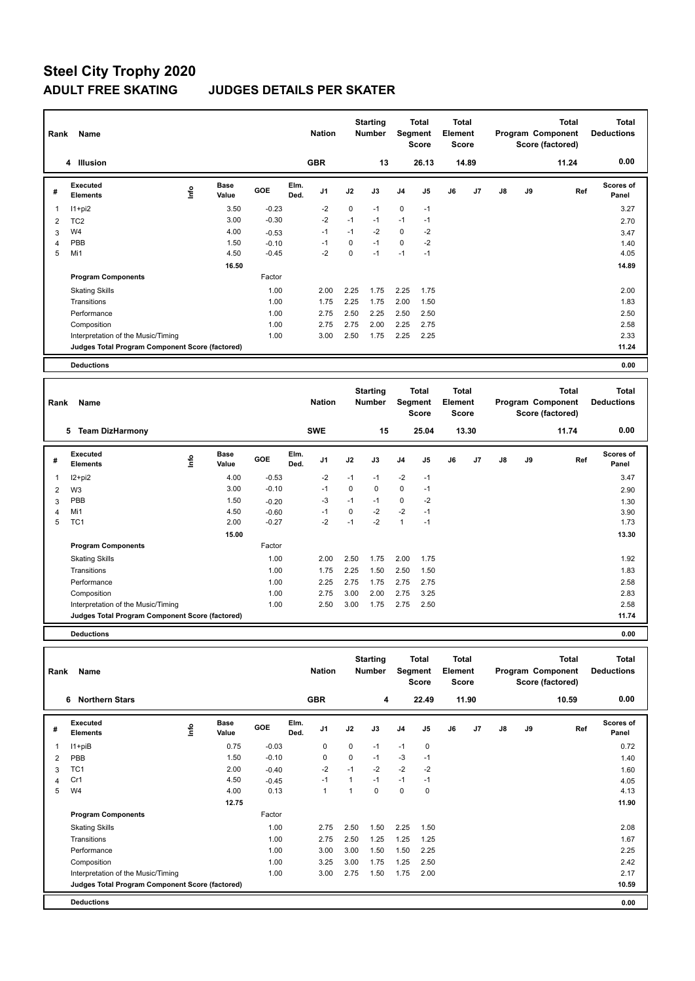| Rank           | <b>Name</b>                                     |                            |         | <b>Nation</b>                  |          | <b>Starting</b><br><b>Number</b> | <b>Segment</b> | <b>Total</b><br><b>Score</b>            | Total<br>Element<br><b>Score</b>        |       |    |    | <b>Total</b><br>Program Component<br>Score (factored) | Total<br><b>Deductions</b>        |
|----------------|-------------------------------------------------|----------------------------|---------|--------------------------------|----------|----------------------------------|----------------|-----------------------------------------|-----------------------------------------|-------|----|----|-------------------------------------------------------|-----------------------------------|
|                | <b>Illusion</b><br>4                            |                            |         | <b>GBR</b>                     |          | 13                               |                | 26.13                                   |                                         | 14.89 |    |    | 11.24                                                 | 0.00                              |
| #              | <b>Executed</b><br><b>Elements</b>              | <b>Base</b><br>۴ů<br>Value | GOE     | Elm.<br>J <sub>1</sub><br>Ded. | J2       | J3                               | J <sub>4</sub> | J5                                      | J6                                      | J7    | J8 | J9 | Ref                                                   | <b>Scores of</b><br>Panel         |
| -1             | $11+pi2$                                        | 3.50                       | $-0.23$ | $-2$                           | 0        | $-1$                             | $\pmb{0}$      | $-1$                                    |                                         |       |    |    |                                                       | 3.27                              |
| $\overline{2}$ | TC <sub>2</sub>                                 | 3.00                       | $-0.30$ | $-2$                           | $-1$     | $-1$                             | $-1$           | $-1$                                    |                                         |       |    |    |                                                       | 2.70                              |
| 3              | W <sub>4</sub>                                  | 4.00                       | $-0.53$ | $-1$                           | $-1$     | $-2$                             | 0              | $-2$                                    |                                         |       |    |    |                                                       | 3.47                              |
| 4              | PBB                                             | 1.50                       | $-0.10$ | $-1$                           | 0        | $-1$                             | $\mathbf 0$    | $-2$                                    |                                         |       |    |    |                                                       | 1.40                              |
| 5              | Mi1                                             | 4.50                       | $-0.45$ | $-2$                           | $\Omega$ | $-1$                             | $-1$           | $-1$                                    |                                         |       |    |    |                                                       | 4.05                              |
|                |                                                 | 16.50                      |         |                                |          |                                  |                |                                         |                                         |       |    |    |                                                       | 14.89                             |
|                | <b>Program Components</b>                       |                            | Factor  |                                |          |                                  |                |                                         |                                         |       |    |    |                                                       |                                   |
|                | <b>Skating Skills</b>                           |                            | 1.00    | 2.00                           | 2.25     | 1.75                             | 2.25           | 1.75                                    |                                         |       |    |    |                                                       | 2.00                              |
|                | Transitions                                     |                            | 1.00    | 1.75                           | 2.25     | 1.75                             | 2.00           | 1.50                                    |                                         |       |    |    |                                                       | 1.83                              |
|                | Performance                                     |                            | 1.00    | 2.75                           | 2.50     | 2.25                             | 2.50           | 2.50                                    |                                         |       |    |    |                                                       | 2.50                              |
|                | Composition                                     |                            | 1.00    | 2.75                           | 2.75     | 2.00                             | 2.25           | 2.75                                    |                                         |       |    |    |                                                       | 2.58                              |
|                | Interpretation of the Music/Timing              |                            | 1.00    | 3.00                           | 2.50     | 1.75                             | 2.25           | 2.25                                    |                                         |       |    |    |                                                       | 2.33                              |
|                | Judges Total Program Component Score (factored) |                            |         |                                |          |                                  |                |                                         |                                         |       |    |    |                                                       | 11.24                             |
|                | <b>Deductions</b>                               |                            |         |                                |          |                                  |                |                                         |                                         |       |    |    |                                                       | 0.00                              |
|                |                                                 |                            |         |                                |          |                                  |                |                                         |                                         |       |    |    |                                                       |                                   |
| Rank           | Name                                            |                            |         | <b>Nation</b>                  |          | <b>Starting</b><br><b>Number</b> |                | <b>Total</b><br>Segment<br><b>Score</b> | <b>Total</b><br>Element<br><b>Score</b> |       |    |    | <b>Total</b><br>Program Component<br>Score (factored) | <b>Total</b><br><b>Deductions</b> |

|   |                                                 |    |                      |            |              |                |      |             |                |                | <b>00010</b> |       |    |    | ovore (naciorca) |                    |
|---|-------------------------------------------------|----|----------------------|------------|--------------|----------------|------|-------------|----------------|----------------|--------------|-------|----|----|------------------|--------------------|
|   | 5<br><b>Team DizHarmony</b>                     |    |                      |            |              | <b>SWE</b>     |      | 15          |                | 25.04          |              | 13.30 |    |    | 11.74            | 0.00               |
| # | Executed<br><b>Elements</b>                     | ١m | <b>Base</b><br>Value | <b>GOE</b> | Elm.<br>Ded. | J <sub>1</sub> | J2   | J3          | J <sub>4</sub> | J <sub>5</sub> | J6           | J7    | J8 | J9 | Ref              | Scores of<br>Panel |
|   | I2+pi2                                          |    | 4.00                 | $-0.53$    |              | $-2$           | $-1$ | $-1$        | $-2$           | $-1$           |              |       |    |    |                  | 3.47               |
| 2 | W <sub>3</sub>                                  |    | 3.00                 | $-0.10$    |              | $-1$           | 0    | $\mathbf 0$ | $\mathbf 0$    | $-1$           |              |       |    |    |                  | 2.90               |
| 3 | PBB                                             |    | 1.50                 | $-0.20$    |              | $-3$           | $-1$ | $-1$        | $\pmb{0}$      | $-2$           |              |       |    |    |                  | 1.30               |
| 4 | Mi1                                             |    | 4.50                 | $-0.60$    |              | -1             | 0    | $-2$        | $-2$           | $-1$           |              |       |    |    |                  | 3.90               |
| 5 | TC <sub>1</sub>                                 |    | 2.00                 | $-0.27$    |              | $-2$           | $-1$ | $-2$        | $\overline{ }$ | $-1$           |              |       |    |    |                  | 1.73               |
|   |                                                 |    | 15.00                |            |              |                |      |             |                |                |              |       |    |    |                  | 13.30              |
|   | <b>Program Components</b>                       |    |                      | Factor     |              |                |      |             |                |                |              |       |    |    |                  |                    |
|   | <b>Skating Skills</b>                           |    |                      | 1.00       |              | 2.00           | 2.50 | 1.75        | 2.00           | 1.75           |              |       |    |    |                  | 1.92               |
|   | Transitions                                     |    |                      | 1.00       |              | 1.75           | 2.25 | 1.50        | 2.50           | 1.50           |              |       |    |    |                  | 1.83               |
|   | Performance                                     |    |                      | 1.00       |              | 2.25           | 2.75 | 1.75        | 2.75           | 2.75           |              |       |    |    |                  | 2.58               |
|   | Composition                                     |    |                      | 1.00       |              | 2.75           | 3.00 | 2.00        | 2.75           | 3.25           |              |       |    |    |                  | 2.83               |
|   | Interpretation of the Music/Timing              |    |                      | 1.00       |              | 2.50           | 3.00 | 1.75        | 2.75           | 2.50           |              |       |    |    |                  | 2.58               |
|   | Judges Total Program Component Score (factored) |    |                      |            |              |                |      |             |                |                |              |       |    |    |                  | 11.74              |
|   |                                                 |    |                      |            |              |                |      |             |                |                |              |       |    |    |                  |                    |

**Deductions 0.00**

| Rank | Name                                            |      |                      |         |              | <b>Nation</b>  |      | <b>Starting</b><br><b>Number</b> | Segment        | <b>Total</b><br><b>Score</b> | <b>Total</b><br>Element<br><b>Score</b> |                |    |    | <b>Total</b><br>Program Component<br>Score (factored) | <b>Total</b><br><b>Deductions</b> |
|------|-------------------------------------------------|------|----------------------|---------|--------------|----------------|------|----------------------------------|----------------|------------------------------|-----------------------------------------|----------------|----|----|-------------------------------------------------------|-----------------------------------|
|      | <b>Northern Stars</b><br>6                      |      |                      |         |              | <b>GBR</b>     |      | 4                                |                | 22.49                        |                                         | 11.90          |    |    | 10.59                                                 | 0.00                              |
| #    | Executed<br><b>Elements</b>                     | lnfo | <b>Base</b><br>Value | GOE     | Elm.<br>Ded. | J <sub>1</sub> | J2   | J3                               | J <sub>4</sub> | J <sub>5</sub>               | J6                                      | J <sub>7</sub> | J8 | J9 | Ref                                                   | Scores of<br>Panel                |
|      | $11 + piB$                                      |      | 0.75                 | $-0.03$ |              | 0              | 0    | $-1$                             | $-1$           | 0                            |                                         |                |    |    |                                                       | 0.72                              |
| 2    | PBB                                             |      | 1.50                 | $-0.10$ |              | 0              | 0    | $-1$                             | $-3$           | $-1$                         |                                         |                |    |    |                                                       | 1.40                              |
| 3    | TC <sub>1</sub>                                 |      | 2.00                 | $-0.40$ |              | $-2$           | $-1$ | $-2$                             | $-2$           | $-2$                         |                                         |                |    |    |                                                       | 1.60                              |
|      | Cr1                                             |      | 4.50                 | $-0.45$ |              | $-1$           |      | $-1$                             | $-1$           | $-1$                         |                                         |                |    |    |                                                       | 4.05                              |
| 5    | W <sub>4</sub>                                  |      | 4.00                 | 0.13    |              | $\overline{1}$ |      | 0                                | $\mathbf 0$    | 0                            |                                         |                |    |    |                                                       | 4.13                              |
|      |                                                 |      | 12.75                |         |              |                |      |                                  |                |                              |                                         |                |    |    |                                                       | 11.90                             |
|      | <b>Program Components</b>                       |      |                      | Factor  |              |                |      |                                  |                |                              |                                         |                |    |    |                                                       |                                   |
|      | <b>Skating Skills</b>                           |      |                      | 1.00    |              | 2.75           | 2.50 | 1.50                             | 2.25           | 1.50                         |                                         |                |    |    |                                                       | 2.08                              |
|      | Transitions                                     |      |                      | 1.00    |              | 2.75           | 2.50 | 1.25                             | 1.25           | 1.25                         |                                         |                |    |    |                                                       | 1.67                              |
|      | Performance                                     |      |                      | 1.00    |              | 3.00           | 3.00 | 1.50                             | 1.50           | 2.25                         |                                         |                |    |    |                                                       | 2.25                              |
|      | Composition                                     |      |                      | 1.00    |              | 3.25           | 3.00 | 1.75                             | 1.25           | 2.50                         |                                         |                |    |    |                                                       | 2.42                              |
|      | Interpretation of the Music/Timing              |      |                      | 1.00    |              | 3.00           | 2.75 | 1.50                             | 1.75           | 2.00                         |                                         |                |    |    |                                                       | 2.17                              |
|      | Judges Total Program Component Score (factored) |      |                      |         |              |                |      |                                  |                |                              |                                         |                |    |    |                                                       | 10.59                             |
|      | <b>Deductions</b>                               |      |                      |         |              |                |      |                                  |                |                              |                                         |                |    |    |                                                       | 0.00                              |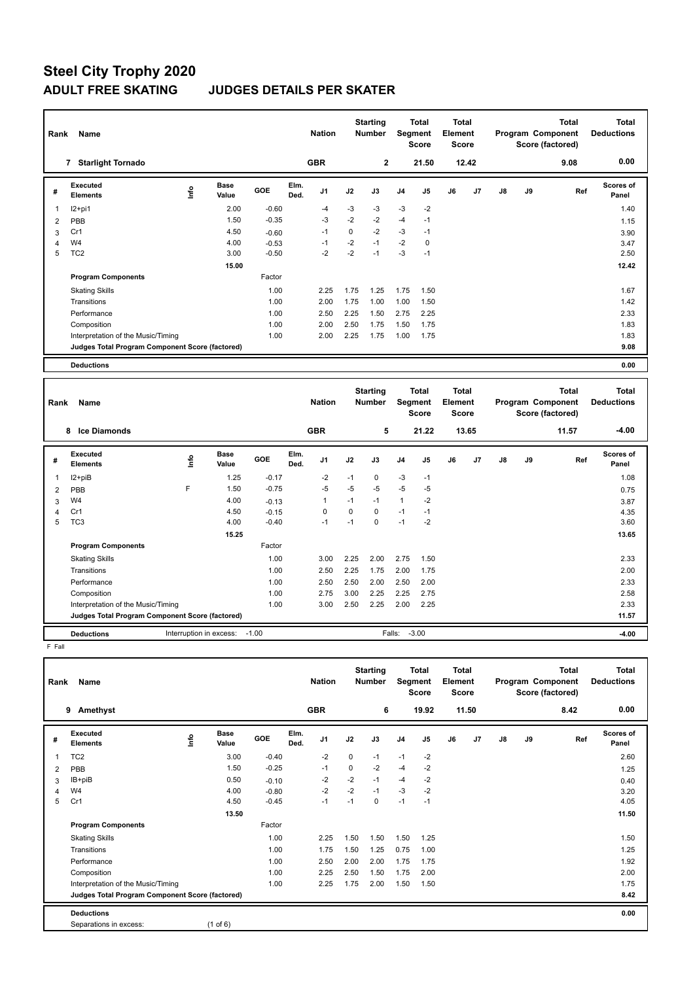| Rank           | Name                                            |      |                      |         |              | <b>Nation</b>  |             | <b>Starting</b><br><b>Number</b> | Segment        | <b>Total</b><br><b>Score</b> | <b>Total</b><br>Element<br><b>Score</b> |                |    |    | <b>Total</b><br>Program Component<br>Score (factored) | Total<br><b>Deductions</b> |
|----------------|-------------------------------------------------|------|----------------------|---------|--------------|----------------|-------------|----------------------------------|----------------|------------------------------|-----------------------------------------|----------------|----|----|-------------------------------------------------------|----------------------------|
|                | <b>Starlight Tornado</b><br>7                   |      |                      |         |              | <b>GBR</b>     |             | $\overline{2}$                   |                | 21.50                        |                                         | 12.42          |    |    | 9.08                                                  | 0.00                       |
| #              | Executed<br><b>Elements</b>                     | ١nf٥ | <b>Base</b><br>Value | GOE     | Elm.<br>Ded. | J <sub>1</sub> | J2          | J3                               | J <sub>4</sub> | J <sub>5</sub>               | J6                                      | J <sub>7</sub> | J8 | J9 | Ref                                                   | <b>Scores of</b><br>Panel  |
| $\overline{1}$ | $12+pi1$                                        |      | 2.00                 | $-0.60$ |              | $-4$           | $-3$        | $-3$                             | $-3$           | $-2$                         |                                         |                |    |    |                                                       | 1.40                       |
| $\overline{2}$ | PBB                                             |      | 1.50                 | $-0.35$ |              | $-3$           | $-2$        | $-2$                             | $-4$           | $-1$                         |                                         |                |    |    |                                                       | 1.15                       |
| 3              | Cr1                                             |      | 4.50                 | $-0.60$ |              | $-1$           | $\mathbf 0$ | $-2$                             | $-3$           | $-1$                         |                                         |                |    |    |                                                       | 3.90                       |
| 4              | W <sub>4</sub>                                  |      | 4.00                 | $-0.53$ |              | -1             | $-2$        | $-1$                             | $-2$           | $\mathbf 0$                  |                                         |                |    |    |                                                       | 3.47                       |
| 5              | TC <sub>2</sub>                                 |      | 3.00                 | $-0.50$ |              | $-2$           | $-2$        | $-1$                             | $-3$           | $-1$                         |                                         |                |    |    |                                                       | 2.50                       |
|                |                                                 |      | 15.00                |         |              |                |             |                                  |                |                              |                                         |                |    |    |                                                       | 12.42                      |
|                | <b>Program Components</b>                       |      |                      | Factor  |              |                |             |                                  |                |                              |                                         |                |    |    |                                                       |                            |
|                | <b>Skating Skills</b>                           |      |                      | 1.00    |              | 2.25           | 1.75        | 1.25                             | 1.75           | 1.50                         |                                         |                |    |    |                                                       | 1.67                       |
|                | Transitions                                     |      |                      | 1.00    |              | 2.00           | 1.75        | 1.00                             | 1.00           | 1.50                         |                                         |                |    |    |                                                       | 1.42                       |
|                | Performance                                     |      |                      | 1.00    |              | 2.50           | 2.25        | 1.50                             | 2.75           | 2.25                         |                                         |                |    |    |                                                       | 2.33                       |
|                | Composition                                     |      |                      | 1.00    |              | 2.00           | 2.50        | 1.75                             | 1.50           | 1.75                         |                                         |                |    |    |                                                       | 1.83                       |
|                | Interpretation of the Music/Timing              |      |                      | 1.00    |              | 2.00           | 2.25        | 1.75                             | 1.00           | 1.75                         |                                         |                |    |    |                                                       | 1.83                       |
|                | Judges Total Program Component Score (factored) |      |                      |         |              |                |             |                                  |                |                              |                                         |                |    |    |                                                       | 9.08                       |
|                | <b>Deductions</b>                               |      |                      |         |              |                |             |                                  |                |                              |                                         |                |    |    |                                                       | 0.00                       |

| Rank | Name                                            |                         |                      |         |              | <b>Nation</b>  |      | <b>Starting</b><br><b>Number</b> | <b>Segment</b> | Total<br><b>Score</b> | <b>Total</b><br>Element<br><b>Score</b> |       |    |    | <b>Total</b><br>Program Component<br>Score (factored) | <b>Total</b><br><b>Deductions</b> |
|------|-------------------------------------------------|-------------------------|----------------------|---------|--------------|----------------|------|----------------------------------|----------------|-----------------------|-----------------------------------------|-------|----|----|-------------------------------------------------------|-----------------------------------|
|      | <b>Ice Diamonds</b><br>8                        |                         |                      |         |              | <b>GBR</b>     |      | 5                                |                | 21.22                 |                                         | 13.65 |    |    | 11.57                                                 | $-4.00$                           |
| #    | Executed<br><b>Elements</b>                     | ۴ů                      | <b>Base</b><br>Value | GOE     | Elm.<br>Ded. | J <sub>1</sub> | J2   | J3                               | J <sub>4</sub> | J <sub>5</sub>        | J6                                      | J7    | J8 | J9 | Ref                                                   | Scores of<br>Panel                |
| 1    | I2+piB                                          |                         | 1.25                 | $-0.17$ |              | $-2$           | $-1$ | 0                                | $-3$           | $-1$                  |                                         |       |    |    |                                                       | 1.08                              |
| 2    | PBB                                             | F                       | 1.50                 | $-0.75$ |              | $-5$           | $-5$ | $-5$                             | $-5$           | $-5$                  |                                         |       |    |    |                                                       | 0.75                              |
| 3    | W <sub>4</sub>                                  |                         | 4.00                 | $-0.13$ |              | $\mathbf{1}$   | $-1$ | $-1$                             | $\mathbf{1}$   | $-2$                  |                                         |       |    |    |                                                       | 3.87                              |
| 4    | Cr1                                             |                         | 4.50                 | $-0.15$ |              | 0              | 0    | 0                                | $-1$           | $-1$                  |                                         |       |    |    |                                                       | 4.35                              |
| 5    | TC <sub>3</sub>                                 |                         | 4.00                 | $-0.40$ |              | $-1$           | $-1$ | $\Omega$                         | $-1$           | $-2$                  |                                         |       |    |    |                                                       | 3.60                              |
|      |                                                 |                         | 15.25                |         |              |                |      |                                  |                |                       |                                         |       |    |    |                                                       | 13.65                             |
|      | <b>Program Components</b>                       |                         |                      | Factor  |              |                |      |                                  |                |                       |                                         |       |    |    |                                                       |                                   |
|      | <b>Skating Skills</b>                           |                         |                      | 1.00    |              | 3.00           | 2.25 | 2.00                             | 2.75           | 1.50                  |                                         |       |    |    |                                                       | 2.33                              |
|      | Transitions                                     |                         |                      | 1.00    |              | 2.50           | 2.25 | 1.75                             | 2.00           | 1.75                  |                                         |       |    |    |                                                       | 2.00                              |
|      | Performance                                     |                         |                      | 1.00    |              | 2.50           | 2.50 | 2.00                             | 2.50           | 2.00                  |                                         |       |    |    |                                                       | 2.33                              |
|      | Composition                                     |                         |                      | 1.00    |              | 2.75           | 3.00 | 2.25                             | 2.25           | 2.75                  |                                         |       |    |    |                                                       | 2.58                              |
|      | Interpretation of the Music/Timing              |                         |                      | 1.00    |              | 3.00           | 2.50 | 2.25                             | 2.00           | 2.25                  |                                         |       |    |    |                                                       | 2.33                              |
|      | Judges Total Program Component Score (factored) |                         |                      |         |              |                |      |                                  |                |                       |                                         |       |    |    |                                                       | 11.57                             |
|      | <b>Deductions</b>                               | Interruption in excess: |                      | $-1.00$ |              |                |      |                                  | Falls:         | $-3.00$               |                                         |       |    |    |                                                       | $-4.00$                           |

F Fall

| Rank           | Name                                            |                              |         |              | <b>Nation</b>  |      | <b>Starting</b><br><b>Number</b> | Segment        | <b>Total</b><br><b>Score</b> | <b>Total</b><br>Element<br><b>Score</b> |       |    |    | <b>Total</b><br>Program Component<br>Score (factored) | <b>Total</b><br><b>Deductions</b> |
|----------------|-------------------------------------------------|------------------------------|---------|--------------|----------------|------|----------------------------------|----------------|------------------------------|-----------------------------------------|-------|----|----|-------------------------------------------------------|-----------------------------------|
|                | 9<br>Amethyst                                   |                              |         |              | <b>GBR</b>     |      | 6                                |                | 19.92                        |                                         | 11.50 |    |    | 8.42                                                  | 0.00                              |
| #              | Executed<br><b>Elements</b>                     | <b>Base</b><br>lnfo<br>Value | GOE     | Elm.<br>Ded. | J <sub>1</sub> | J2   | J3                               | J <sub>4</sub> | J <sub>5</sub>               | J6                                      | J7    | J8 | J9 | Ref                                                   | Scores of<br>Panel                |
| 1              | TC <sub>2</sub>                                 | 3.00                         | $-0.40$ |              | $-2$           | 0    | $-1$                             | $-1$           | $-2$                         |                                         |       |    |    |                                                       | 2.60                              |
| $\overline{2}$ | PBB                                             | 1.50                         | $-0.25$ |              | $-1$           | 0    | $-2$                             | $-4$           | $-2$                         |                                         |       |    |    |                                                       | 1.25                              |
| 3              | IB+piB                                          | 0.50                         | $-0.10$ |              | $-2$           | $-2$ | $-1$                             | $-4$           | $-2$                         |                                         |       |    |    |                                                       | 0.40                              |
| 4              | W4                                              | 4.00                         | $-0.80$ |              | $-2$           | $-2$ | $-1$                             | $-3$           | $-2$                         |                                         |       |    |    |                                                       | 3.20                              |
| 5              | Cr1                                             | 4.50                         | $-0.45$ |              | $-1$           | $-1$ | 0                                | $-1$           | $-1$                         |                                         |       |    |    |                                                       | 4.05                              |
|                |                                                 | 13.50                        |         |              |                |      |                                  |                |                              |                                         |       |    |    |                                                       | 11.50                             |
|                | <b>Program Components</b>                       |                              | Factor  |              |                |      |                                  |                |                              |                                         |       |    |    |                                                       |                                   |
|                | <b>Skating Skills</b>                           |                              | 1.00    |              | 2.25           | 1.50 | 1.50                             | 1.50           | 1.25                         |                                         |       |    |    |                                                       | 1.50                              |
|                | Transitions                                     |                              | 1.00    |              | 1.75           | 1.50 | 1.25                             | 0.75           | 1.00                         |                                         |       |    |    |                                                       | 1.25                              |
|                | Performance                                     |                              | 1.00    |              | 2.50           | 2.00 | 2.00                             | 1.75           | 1.75                         |                                         |       |    |    |                                                       | 1.92                              |
|                | Composition                                     |                              | 1.00    |              | 2.25           | 2.50 | 1.50                             | 1.75           | 2.00                         |                                         |       |    |    |                                                       | 2.00                              |
|                | Interpretation of the Music/Timing              |                              | 1.00    |              | 2.25           | 1.75 | 2.00                             | 1.50           | 1.50                         |                                         |       |    |    |                                                       | 1.75                              |
|                | Judges Total Program Component Score (factored) |                              |         |              |                |      |                                  |                |                              |                                         |       |    |    |                                                       | 8.42                              |
|                | <b>Deductions</b>                               |                              |         |              |                |      |                                  |                |                              |                                         |       |    |    |                                                       | 0.00                              |
|                | Separations in excess:                          | $(1 \text{ of } 6)$          |         |              |                |      |                                  |                |                              |                                         |       |    |    |                                                       |                                   |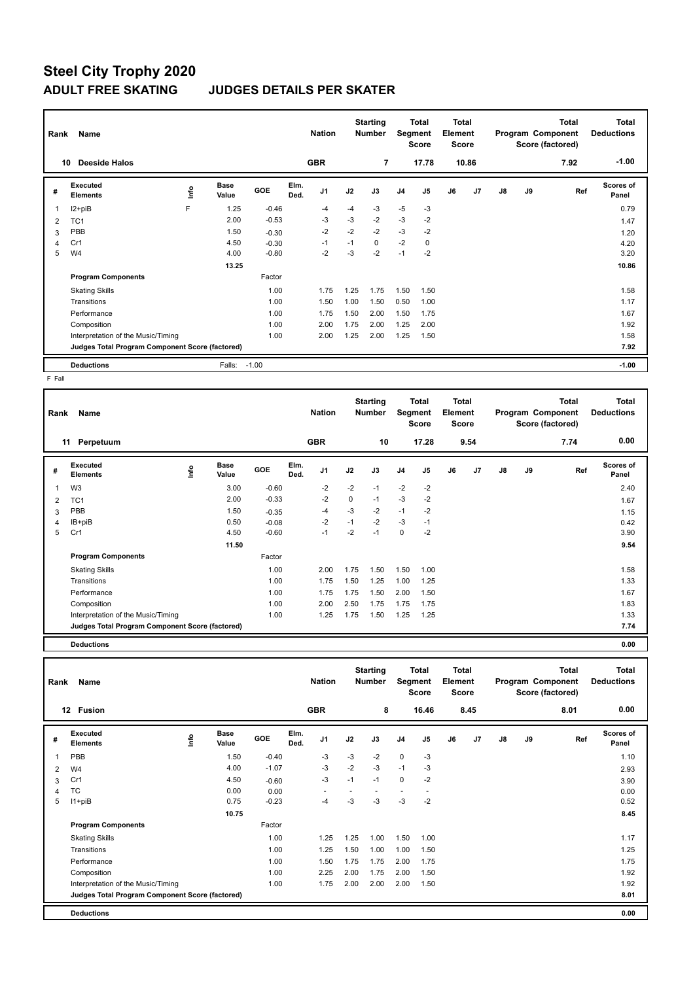| Rank | Name                                            |      |                      |         |              | <b>Nation</b>  |      | <b>Starting</b><br><b>Number</b> |                | <b>Total</b><br>Segment<br><b>Score</b> | <b>Total</b><br>Element<br><b>Score</b> |       |               |    | <b>Total</b><br>Program Component<br>Score (factored) | <b>Total</b><br><b>Deductions</b> |
|------|-------------------------------------------------|------|----------------------|---------|--------------|----------------|------|----------------------------------|----------------|-----------------------------------------|-----------------------------------------|-------|---------------|----|-------------------------------------------------------|-----------------------------------|
|      | <b>Deeside Halos</b><br>10                      |      |                      |         |              | <b>GBR</b>     |      | 7                                |                | 17.78                                   |                                         | 10.86 |               |    | 7.92                                                  | $-1.00$                           |
| #    | <b>Executed</b><br><b>Elements</b>              | ١nf٥ | <b>Base</b><br>Value | GOE     | Elm.<br>Ded. | J <sub>1</sub> | J2   | J3                               | J <sub>4</sub> | J <sub>5</sub>                          | J6                                      | J7    | $\mathsf{J}8$ | J9 | Ref                                                   | <b>Scores of</b><br>Panel         |
|      | I2+piB                                          | F    | 1.25                 | $-0.46$ |              | $-4$           | $-4$ | -3                               | $-5$           | $-3$                                    |                                         |       |               |    |                                                       | 0.79                              |
| 2    | TC <sub>1</sub>                                 |      | 2.00                 | $-0.53$ |              | $-3$           | $-3$ | $-2$                             | $-3$           | $-2$                                    |                                         |       |               |    |                                                       | 1.47                              |
| 3    | PBB                                             |      | 1.50                 | $-0.30$ |              | $-2$           | $-2$ | $-2$                             | $-3$           | $-2$                                    |                                         |       |               |    |                                                       | 1.20                              |
|      | Cr1                                             |      | 4.50                 | $-0.30$ |              | $-1$           | $-1$ | $\Omega$                         | $-2$           | $\mathbf 0$                             |                                         |       |               |    |                                                       | 4.20                              |
| 5    | W <sub>4</sub>                                  |      | 4.00                 | $-0.80$ |              | $-2$           | $-3$ | $-2$                             | $-1$           | $-2$                                    |                                         |       |               |    |                                                       | 3.20                              |
|      |                                                 |      | 13.25                |         |              |                |      |                                  |                |                                         |                                         |       |               |    |                                                       | 10.86                             |
|      | <b>Program Components</b>                       |      |                      | Factor  |              |                |      |                                  |                |                                         |                                         |       |               |    |                                                       |                                   |
|      | <b>Skating Skills</b>                           |      |                      | 1.00    |              | 1.75           | 1.25 | 1.75                             | 1.50           | 1.50                                    |                                         |       |               |    |                                                       | 1.58                              |
|      | Transitions                                     |      |                      | 1.00    |              | 1.50           | 1.00 | 1.50                             | 0.50           | 1.00                                    |                                         |       |               |    |                                                       | 1.17                              |
|      | Performance                                     |      |                      | 1.00    |              | 1.75           | 1.50 | 2.00                             | 1.50           | 1.75                                    |                                         |       |               |    |                                                       | 1.67                              |
|      | Composition                                     |      |                      | 1.00    |              | 2.00           | 1.75 | 2.00                             | 1.25           | 2.00                                    |                                         |       |               |    |                                                       | 1.92                              |
|      | Interpretation of the Music/Timing              |      |                      | 1.00    |              | 2.00           | 1.25 | 2.00                             | 1.25           | 1.50                                    |                                         |       |               |    |                                                       | 1.58                              |
|      | Judges Total Program Component Score (factored) |      |                      |         |              |                |      |                                  |                |                                         |                                         |       |               |    |                                                       | 7.92                              |
|      | <b>Deductions</b>                               |      | Falls:               | $-1.00$ |              |                |      |                                  |                |                                         |                                         |       |               |    |                                                       | $-1.00$                           |

 $F$  Fall

| Rank | Name                                            |      |                      |            |              | <b>Nation</b>  |      | <b>Starting</b><br>Number | Segment        | <b>Total</b><br><b>Score</b> | <b>Total</b><br>Element<br><b>Score</b> |      |               |    | <b>Total</b><br>Program Component<br>Score (factored) | <b>Total</b><br><b>Deductions</b> |
|------|-------------------------------------------------|------|----------------------|------------|--------------|----------------|------|---------------------------|----------------|------------------------------|-----------------------------------------|------|---------------|----|-------------------------------------------------------|-----------------------------------|
|      | 11<br>Perpetuum                                 |      |                      |            |              | <b>GBR</b>     |      | 10                        |                | 17.28                        |                                         | 9.54 |               |    | 7.74                                                  | 0.00                              |
| #    | Executed<br><b>Elements</b>                     | ١nfo | <b>Base</b><br>Value | <b>GOE</b> | Elm.<br>Ded. | J <sub>1</sub> | J2   | J3                        | J <sub>4</sub> | J5                           | J6                                      | J7   | $\mathsf{J}8$ | J9 | Ref                                                   | Scores of<br>Panel                |
| 1    | W <sub>3</sub>                                  |      | 3.00                 | $-0.60$    |              | $-2$           | $-2$ | $-1$                      | $-2$           | $-2$                         |                                         |      |               |    |                                                       | 2.40                              |
| 2    | TC <sub>1</sub>                                 |      | 2.00                 | $-0.33$    |              | $-2$           | 0    | $-1$                      | $-3$           | $-2$                         |                                         |      |               |    |                                                       | 1.67                              |
| 3    | PBB                                             |      | 1.50                 | $-0.35$    |              | -4             | $-3$ | $-2$                      | $-1$           | $-2$                         |                                         |      |               |    |                                                       | 1.15                              |
| 4    | IB+piB                                          |      | 0.50                 | $-0.08$    |              | $-2$           | $-1$ | $-2$                      | $-3$           | $-1$                         |                                         |      |               |    |                                                       | 0.42                              |
| 5    | Cr1                                             |      | 4.50                 | $-0.60$    |              | $-1$           | $-2$ | $-1$                      | $\pmb{0}$      | $-2$                         |                                         |      |               |    |                                                       | 3.90                              |
|      |                                                 |      | 11.50                |            |              |                |      |                           |                |                              |                                         |      |               |    |                                                       | 9.54                              |
|      | <b>Program Components</b>                       |      |                      | Factor     |              |                |      |                           |                |                              |                                         |      |               |    |                                                       |                                   |
|      | <b>Skating Skills</b>                           |      |                      | 1.00       |              | 2.00           | 1.75 | 1.50                      | 1.50           | 1.00                         |                                         |      |               |    |                                                       | 1.58                              |
|      | Transitions                                     |      |                      | 1.00       |              | 1.75           | 1.50 | 1.25                      | 1.00           | 1.25                         |                                         |      |               |    |                                                       | 1.33                              |
|      | Performance                                     |      |                      | 1.00       |              | 1.75           | 1.75 | 1.50                      | 2.00           | 1.50                         |                                         |      |               |    |                                                       | 1.67                              |
|      | Composition                                     |      |                      | 1.00       |              | 2.00           | 2.50 | 1.75                      | 1.75           | 1.75                         |                                         |      |               |    |                                                       | 1.83                              |
|      | Interpretation of the Music/Timing              |      |                      | 1.00       |              | 1.25           | 1.75 | 1.50                      | 1.25           | 1.25                         |                                         |      |               |    |                                                       | 1.33                              |
|      | Judges Total Program Component Score (factored) |      |                      |            |              |                |      |                           |                |                              |                                         |      |               |    |                                                       | 7.74                              |
|      | <b>Deductions</b>                               |      |                      |            |              |                |      |                           |                |                              |                                         |      |               |    |                                                       | 0.00                              |

| Rank | Name                                            |      |                      |         |              | <b>Nation</b>  |      | <b>Starting</b><br><b>Number</b> | Segment        | Total<br><b>Score</b> | <b>Total</b><br>Element<br><b>Score</b> |      |    |    | <b>Total</b><br>Program Component<br>Score (factored) | <b>Total</b><br><b>Deductions</b> |
|------|-------------------------------------------------|------|----------------------|---------|--------------|----------------|------|----------------------------------|----------------|-----------------------|-----------------------------------------|------|----|----|-------------------------------------------------------|-----------------------------------|
|      | <b>Fusion</b><br>12                             |      |                      |         |              | <b>GBR</b>     |      | 8                                |                | 16.46                 |                                         | 8.45 |    |    | 8.01                                                  | 0.00                              |
| #    | <b>Executed</b><br><b>Elements</b>              | lnfo | <b>Base</b><br>Value | GOE     | Elm.<br>Ded. | J <sub>1</sub> | J2   | J3                               | J <sub>4</sub> | J <sub>5</sub>        | J6                                      | J7   | J8 | J9 | Ref                                                   | <b>Scores of</b><br>Panel         |
| 1    | PBB                                             |      | 1.50                 | $-0.40$ |              | $-3$           | $-3$ | $-2$                             | $\mathbf 0$    | $-3$                  |                                         |      |    |    |                                                       | 1.10                              |
| 2    | W <sub>4</sub>                                  |      | 4.00                 | $-1.07$ |              | $-3$           | $-2$ | $-3$                             | $-1$           | $-3$                  |                                         |      |    |    |                                                       | 2.93                              |
| 3    | Cr1                                             |      | 4.50                 | $-0.60$ |              | $-3$           | $-1$ | $-1$                             | $\mathbf 0$    | $-2$                  |                                         |      |    |    |                                                       | 3.90                              |
| 4    | TC                                              |      | 0.00                 | 0.00    |              |                |      |                                  |                |                       |                                         |      |    |    |                                                       | 0.00                              |
| 5    | $11 + piB$                                      |      | 0.75                 | $-0.23$ |              | $-4$           | $-3$ | $-3$                             | $-3$           | $-2$                  |                                         |      |    |    |                                                       | 0.52                              |
|      |                                                 |      | 10.75                |         |              |                |      |                                  |                |                       |                                         |      |    |    |                                                       | 8.45                              |
|      | <b>Program Components</b>                       |      |                      | Factor  |              |                |      |                                  |                |                       |                                         |      |    |    |                                                       |                                   |
|      | <b>Skating Skills</b>                           |      |                      | 1.00    |              | 1.25           | 1.25 | 1.00                             | 1.50           | 1.00                  |                                         |      |    |    |                                                       | 1.17                              |
|      | Transitions                                     |      |                      | 1.00    |              | 1.25           | 1.50 | 1.00                             | 1.00           | 1.50                  |                                         |      |    |    |                                                       | 1.25                              |
|      | Performance                                     |      |                      | 1.00    |              | 1.50           | 1.75 | 1.75                             | 2.00           | 1.75                  |                                         |      |    |    |                                                       | 1.75                              |
|      | Composition                                     |      |                      | 1.00    |              | 2.25           | 2.00 | 1.75                             | 2.00           | 1.50                  |                                         |      |    |    |                                                       | 1.92                              |
|      | Interpretation of the Music/Timing              |      |                      | 1.00    |              | 1.75           | 2.00 | 2.00                             | 2.00           | 1.50                  |                                         |      |    |    |                                                       | 1.92                              |
|      | Judges Total Program Component Score (factored) |      |                      |         |              |                |      |                                  |                |                       |                                         |      |    |    |                                                       | 8.01                              |
|      | <b>Deductions</b>                               |      |                      |         |              |                |      |                                  |                |                       |                                         |      |    |    |                                                       | 0.00                              |